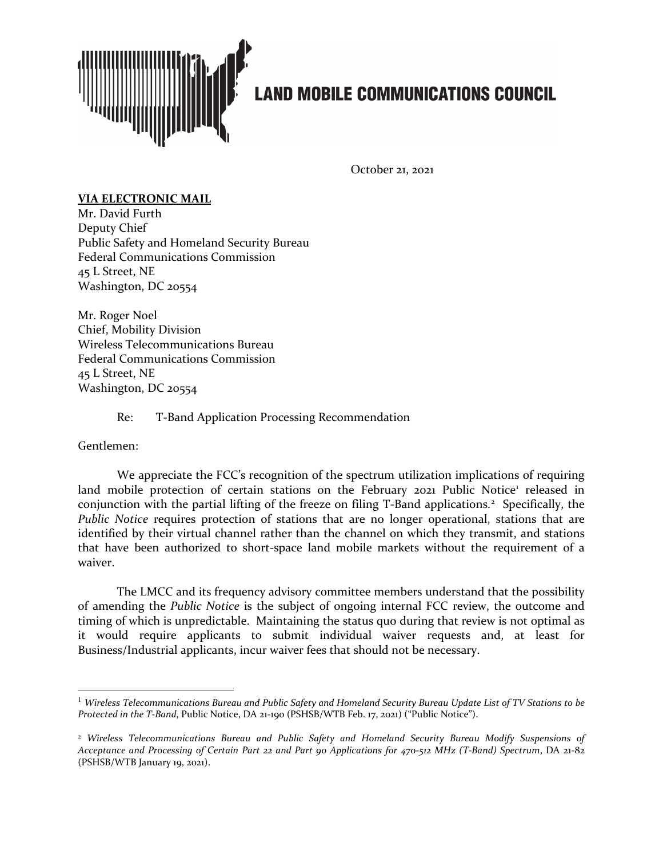

## **LAND MOBILE COMMUNICATIONS COUNCIL**

October 21, 2021

## **VIA ELECTRONIC MAIL**

Mr. David Furth Deputy Chief Public Safety and Homeland Security Bureau Federal Communications Commission 45 L Street, NE Washington, DC 20554

Mr. Roger Noel Chief, Mobility Division Wireless Telecommunications Bureau Federal Communications Commission 45 L Street, NE Washington, DC 20554

Re: T-Band Application Processing Recommendation

Gentlemen:

We appreciate the FCC's recognition of the spectrum utilization implications of requiring land mobile protection of certain stations on the February 202[1](#page-0-0) Public Notice<sup>1</sup> released in conjunction with the partial lifting of the freeze on filing T-Band applications. [2](#page-0-1) Specifically, the *Public Notice* requires protection of stations that are no longer operational, stations that are identified by their virtual channel rather than the channel on which they transmit, and stations that have been authorized to short-space land mobile markets without the requirement of a waiver.

The LMCC and its frequency advisory committee members understand that the possibility of amending the *Public Notice* is the subject of ongoing internal FCC review, the outcome and timing of which is unpredictable. Maintaining the status quo during that review is not optimal as it would require applicants to submit individual waiver requests and, at least for Business/Industrial applicants, incur waiver fees that should not be necessary.

<span id="page-0-0"></span><sup>1</sup> *Wireless Telecommunications Bureau and Public Safety and Homeland Security Bureau Update List of TV Stations to be Protected in the T-Band*, Public Notice, DA 21-190 (PSHSB/WTB Feb. 17, 2021) ("Public Notice").

<span id="page-0-1"></span><sup>2</sup> *Wireless Telecommunications Bureau and Public Safety and Homeland Security Bureau Modify Suspensions of Acceptance and Processing of Certain Part 22 and Part 90 Applications for 470-512 MHz (T-Band) Spectrum*, DA 21-82 (PSHSB/WTB January 19, 2021).